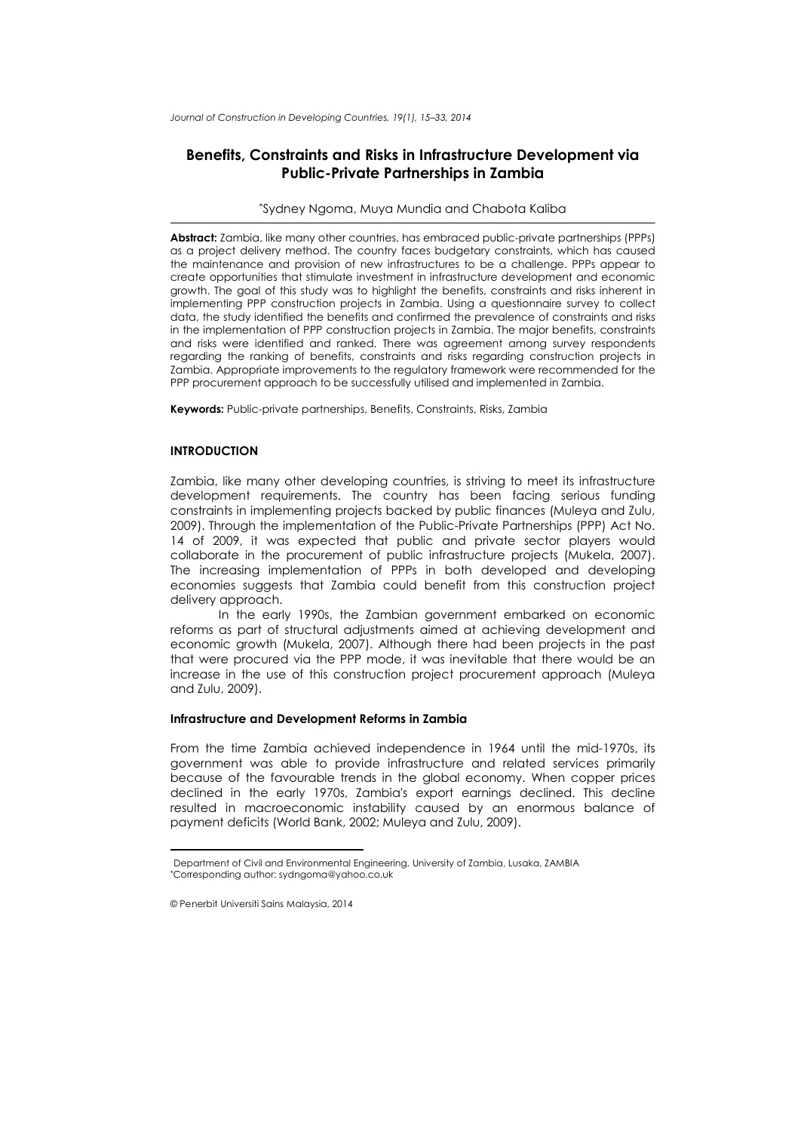*Journal of Construction in Developing Countries, 19(1), 15–33, 2014*

# **Benefits, Constraints and Risks in Infrastructure Development via Public-Private Partnerships in Zambia**

### \*Sydney Ngoma, Muya Mundia and Chabota Kaliba

**Abstract:** Zambia, like many other countries, has embraced public-private partnerships (PPPs) as a project delivery method. The country faces budgetary constraints, which has caused the maintenance and provision of new infrastructures to be a challenge. PPPs appear to create opportunities that stimulate investment in infrastructure development and economic growth. The goal of this study was to highlight the benefits, constraints and risks inherent in implementing PPP construction projects in Zambia. Using a questionnaire survey to collect data, the study identified the benefits and confirmed the prevalence of constraints and risks in the implementation of PPP construction projects in Zambia. The major benefits, constraints and risks were identified and ranked. There was agreement among survey respondents regarding the ranking of benefits, constraints and risks regarding construction projects in Zambia. Appropriate improvements to the regulatory framework were recommended for the PPP procurement approach to be successfully utilised and implemented in Zambia.

**Keywords:** Public-private partnerships, Benefits, Constraints, Risks, Zambia

## **INTRODUCTION**

Zambia, like many other developing countries, is striving to meet its infrastructure development requirements. The country has been facing serious funding constraints in implementing projects backed by public finances (Muleya and Zulu, 2009). Through the implementation of the Public-Private Partnerships (PPP) Act No. 14 of 2009, it was expected that public and private sector players would collaborate in the procurement of public infrastructure projects (Mukela, 2007). The increasing implementation of PPPs in both developed and developing economies suggests that Zambia could benefit from this construction project delivery approach.

In the early 1990s, the Zambian government embarked on economic reforms as part of structural adjustments aimed at achieving development and economic growth (Mukela, 2007). Although there had been projects in the past that were procured via the PPP mode, it was inevitable that there would be an increase in the use of this construction project procurement approach (Muleya and Zulu, 2009).

## **Infrastructure and Development Reforms in Zambia**

From the time Zambia achieved independence in 1964 until the mid-1970s, its government was able to provide infrastructure and related services primarily because of the favourable trends in the global economy. When copper prices declined in the early 1970s, Zambia's export earnings declined. This decline resulted in macroeconomic instability caused by an enormous balance of payment deficits (World Bank, 2002; Muleya and Zulu, 2009).

<span id="page-0-1"></span><span id="page-0-0"></span><sup>1</sup>Department of Civil and Environmental Engineering, University of Zambia, Lusaka, ZAMBIA ∗ Corresponding author: sydngoma@yahoo.co.uk

<sup>©</sup> Penerbit Universiti Sains Malaysia, 2014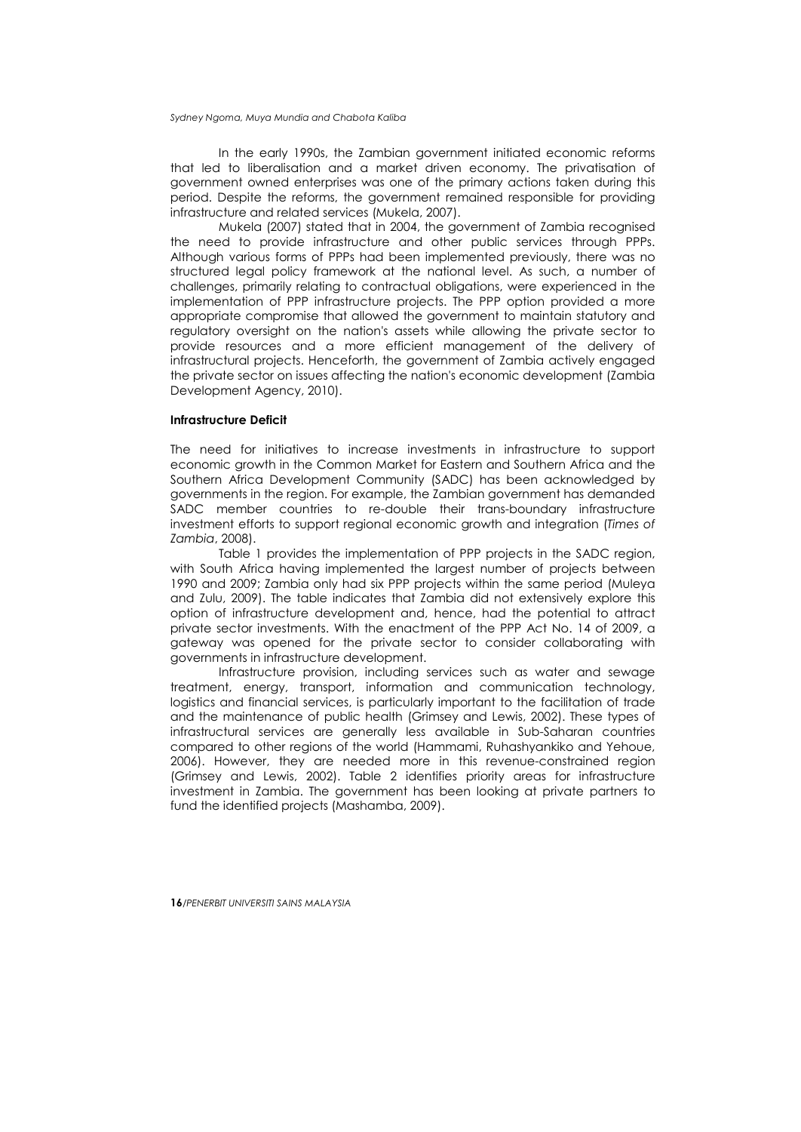In the early 1990s, the Zambian government initiated economic reforms that led to liberalisation and a market driven economy. The privatisation of government owned enterprises was one of the primary actions taken during this period. Despite the reforms, the government remained responsible for providing infrastructure and related services (Mukela, 2007).

Mukela (2007) stated that in 2004, the government of Zambia recognised the need to provide infrastructure and other public services through PPPs. Although various forms of PPPs had been implemented previously, there was no structured legal policy framework at the national level. As such, a number of challenges, primarily relating to contractual obligations, were experienced in the implementation of PPP infrastructure projects. The PPP option provided a more appropriate compromise that allowed the government to maintain statutory and regulatory oversight on the nation's assets while allowing the private sector to provide resources and a more efficient management of the delivery of infrastructural projects. Henceforth, the government of Zambia actively engaged the private sector on issues affecting the nation's economic development (Zambia Development Agency, 2010).

## **Infrastructure Deficit**

The need for initiatives to increase investments in infrastructure to support economic growth in the Common Market for Eastern and Southern Africa and the Southern Africa Development Community (SADC) has been acknowledged by governments in the region. For example, the Zambian government has demanded SADC member countries to re-double their trans-boundary infrastructure investment efforts to support regional economic growth and integration (*Times of Zambia*, 2008).

Table 1 provides the implementation of PPP projects in the SADC region, with South Africa having implemented the largest number of projects between 1990 and 2009; Zambia only had six PPP projects within the same period (Muleya and Zulu, 2009). The table indicates that Zambia did not extensively explore this option of infrastructure development and, hence, had the potential to attract private sector investments. With the enactment of the PPP Act No. 14 of 2009, a gateway was opened for the private sector to consider collaborating with governments in infrastructure development.

Infrastructure provision, including services such as water and sewage treatment, energy, transport, information and communication technology, logistics and financial services, is particularly important to the facilitation of trade and the maintenance of public health (Grimsey and Lewis, 2002). These types of infrastructural services are generally less available in Sub-Saharan countries compared to other regions of the world (Hammami, Ruhashyankiko and Yehoue, 2006). However, they are needed more in this revenue-constrained region (Grimsey and Lewis, 2002). Table 2 identifies priority areas for infrastructure investment in Zambia. The government has been looking at private partners to fund the identified projects (Mashamba, 2009).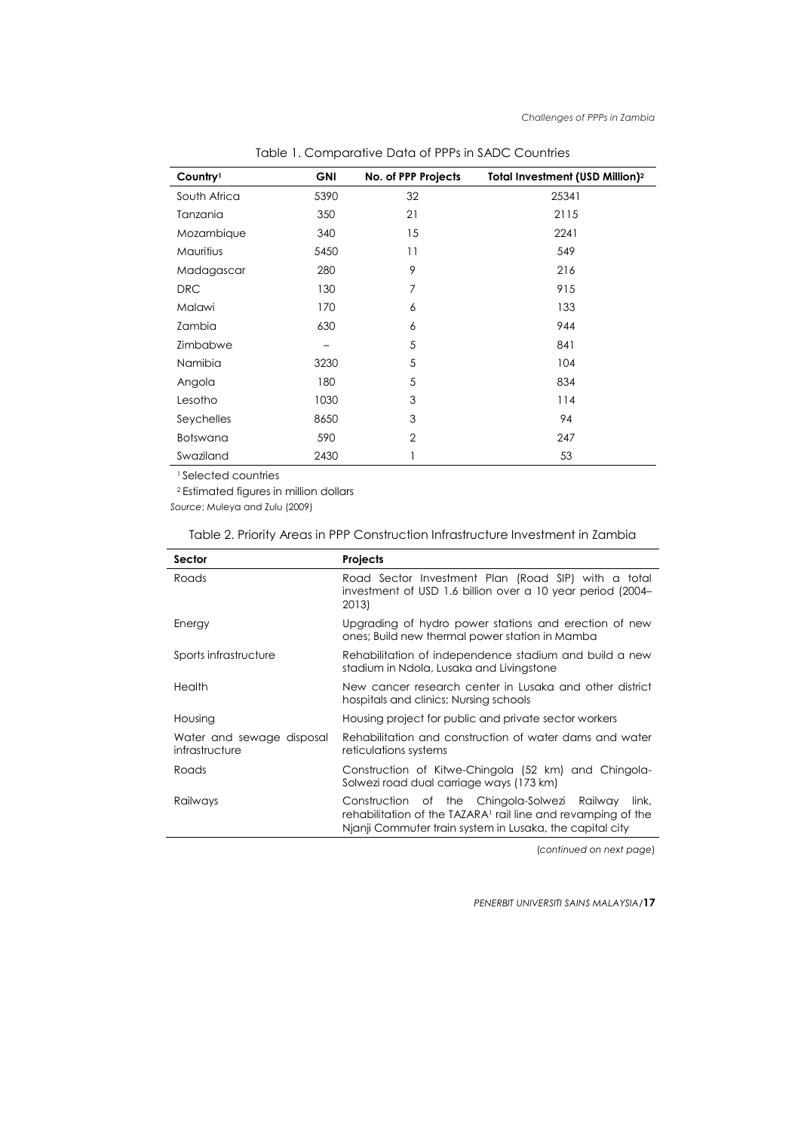| Country <sup>1</sup> | <b>GNI</b> | No. of PPP Projects | Total Investment (USD Million) <sup>2</sup> |
|----------------------|------------|---------------------|---------------------------------------------|
| South Africa         | 5390       | 32                  | 25341                                       |
| Tanzania             | 350        | 21                  | 2115                                        |
| Mozambique           | 340        | 15                  | 2241                                        |
| <b>Mauritius</b>     | 5450       | 11                  | 549                                         |
| Madagascar           | 280        | 9                   | 216                                         |
| <b>DRC</b>           | 130        | 7                   | 915                                         |
| Malawi               | 170        | 6                   | 133                                         |
| Zambia               | 630        | 6                   | 944                                         |
| Zimbabwe             |            | 5                   | 841                                         |
| Namibia              | 3230       | 5                   | 104                                         |
| Angola               | 180        | 5                   | 834                                         |
| Lesotho              | 1030       | 3                   | 114                                         |
| Seychelles           | 8650       | 3                   | 94                                          |
| <b>Botswana</b>      | 590        | $\overline{2}$      | 247                                         |
| Swaziland            | 2430       |                     | 53                                          |

Table 1. Comparative Data of PPPs in SADC Countries

1 Selected countries

2 Estimated figures in million dollars

*Source*: Muleya and Zulu (2009)

| Sector                                      | Projects                                                                                                                                                                                      |
|---------------------------------------------|-----------------------------------------------------------------------------------------------------------------------------------------------------------------------------------------------|
| Roads                                       | Road Sector Investment Plan (Road SIP) with a total<br>investment of USD 1.6 billion over a 10 year period (2004–<br>2013)                                                                    |
| Energy                                      | Upgrading of hydro power stations and erection of new<br>ones; Build new thermal power station in Mamba                                                                                       |
| Sports infrastructure                       | Rehabilitation of independence stadium and build a new<br>stadium in Ndola, Lusaka and Livingstone                                                                                            |
| Health                                      | New cancer research center in Lusaka and other district<br>hospitals and clinics; Nursing schools                                                                                             |
| Housing                                     | Housing project for public and private sector workers                                                                                                                                         |
| Water and sewage disposal<br>infrastructure | Rehabilitation and construction of water dams and water<br>reticulations systems                                                                                                              |
| Roads                                       | Construction of Kitwe-Chingola (52 km) and Chingola-<br>Solwezi road dual carriage ways (173 km)                                                                                              |
| Railways                                    | Construction of the Chingola-Solwezi Railway<br>link.<br>rehabilitation of the TAZARA <sup>1</sup> rail line and revamping of the<br>Nianii Commuter train system in Lusaka, the capital city |

## Table 2. Priority Areas in PPP Construction Infrastructure Investment in Zambia

(*continued on next page*)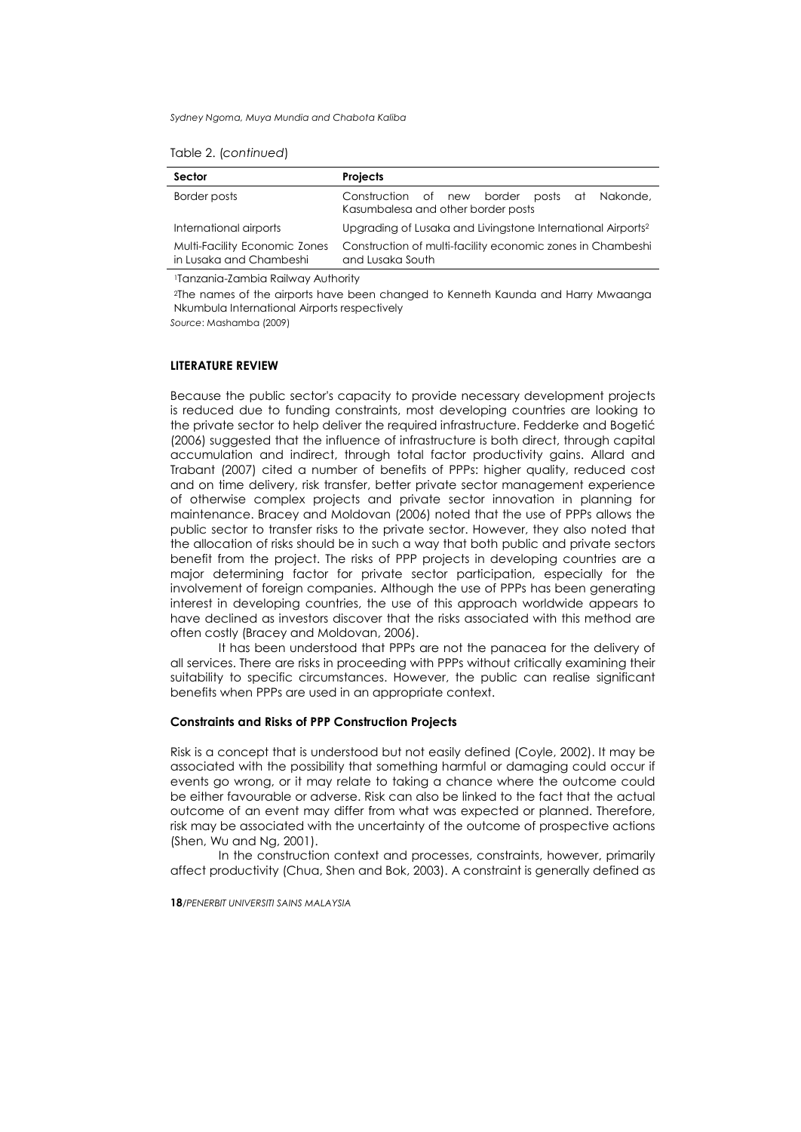| Sector                                                   | <b>Projects</b>                                                                       |
|----------------------------------------------------------|---------------------------------------------------------------------------------------|
| Border posts                                             | Construction of new border<br>posts at Nakonde,<br>Kasumbalesa and other border posts |
| International airports                                   | Upgrading of Lusaka and Livingstone International Airports <sup>2</sup>               |
| Multi-Facility Economic Zones<br>in Lusaka and Chambeshi | Construction of multi-facility economic zones in Chambeshi<br>and Lusaka South        |

1Tanzania-Zambia Railway Authority

2The names of the airports have been changed to Kenneth Kaunda and Harry Mwaanga Nkumbula International Airports respectively

*Source*: Mashamba (2009)

## **LITERATURE REVIEW**

Because the public sector's capacity to provide necessary development projects is reduced due to funding constraints, most developing countries are looking to the private sector to help deliver the required infrastructure. Fedderke and Bogetić (2006) suggested that the influence of infrastructure is both direct, through capital accumulation and indirect, through total factor productivity gains. Allard and Trabant (2007) cited a number of benefits of PPPs: higher quality, reduced cost and on time delivery, risk transfer, better private sector management experience of otherwise complex projects and private sector innovation in planning for maintenance. Bracey and Moldovan (2006) noted that the use of PPPs allows the public sector to transfer risks to the private sector. However, they also noted that the allocation of risks should be in such a way that both public and private sectors benefit from the project. The risks of PPP projects in developing countries are a major determining factor for private sector participation, especially for the involvement of foreign companies. Although the use of PPPs has been generating interest in developing countries, the use of this approach worldwide appears to have declined as investors discover that the risks associated with this method are often costly (Bracey and Moldovan, 2006).

It has been understood that PPPs are not the panacea for the delivery of all services. There are risks in proceeding with PPPs without critically examining their suitability to specific circumstances. However, the public can realise significant benefits when PPPs are used in an appropriate context.

### **Constraints and Risks of PPP Construction Projects**

Risk is a concept that is understood but not easily defined (Coyle, 2002). It may be associated with the possibility that something harmful or damaging could occur if events go wrong, or it may relate to taking a chance where the outcome could be either favourable or adverse. Risk can also be linked to the fact that the actual outcome of an event may differ from what was expected or planned. Therefore, risk may be associated with the uncertainty of the outcome of prospective actions (Shen, Wu and Ng, 2001).

In the construction context and processes, constraints, however, primarily affect productivity (Chua, Shen and Bok, 2003). A constraint is generally defined as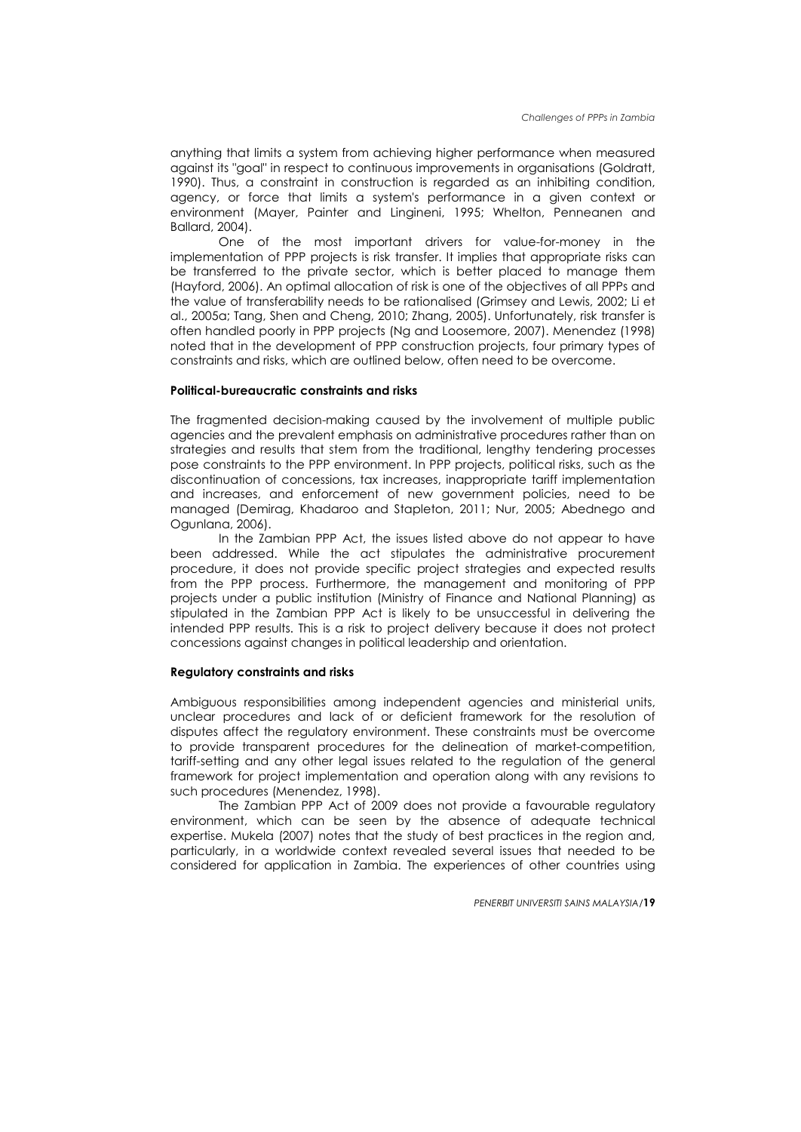anything that limits a system from achieving higher performance when measured against its "goal" in respect to continuous improvements in organisations (Goldratt, 1990). Thus, a constraint in construction is regarded as an inhibiting condition, agency, or force that limits a system's performance in a given context or environment (Mayer, Painter and Lingineni, 1995; Whelton, Penneanen and Ballard, 2004).

One of the most important drivers for value-for-money in the implementation of PPP projects is risk transfer. It implies that appropriate risks can be transferred to the private sector, which is better placed to manage them (Hayford, 2006). An optimal allocation of risk is one of the objectives of all PPPs and the value of transferability needs to be rationalised (Grimsey and Lewis, 2002; Li et al., 2005a; Tang, Shen and Cheng, 2010; Zhang, 2005). Unfortunately, risk transfer is often handled poorly in PPP projects (Ng and Loosemore, 2007). Menendez (1998) noted that in the development of PPP construction projects, four primary types of constraints and risks, which are outlined below, often need to be overcome.

### **Political-bureaucratic constraints and risks**

The fragmented decision-making caused by the involvement of multiple public agencies and the prevalent emphasis on administrative procedures rather than on strategies and results that stem from the traditional, lengthy tendering processes pose constraints to the PPP environment. In PPP projects, political risks, such as the discontinuation of concessions, tax increases, inappropriate tariff implementation and increases, and enforcement of new government policies, need to be managed (Demirag, Khadaroo and Stapleton, 2011; Nur, 2005; Abednego and Ogunlana, 2006).

In the Zambian PPP Act, the issues listed above do not appear to have been addressed. While the act stipulates the administrative procurement procedure, it does not provide specific project strategies and expected results from the PPP process. Furthermore, the management and monitoring of PPP projects under a public institution (Ministry of Finance and National Planning) as stipulated in the Zambian PPP Act is likely to be unsuccessful in delivering the intended PPP results. This is a risk to project delivery because it does not protect concessions against changes in political leadership and orientation.

## **Regulatory constraints and risks**

Ambiguous responsibilities among independent agencies and ministerial units, unclear procedures and lack of or deficient framework for the resolution of disputes affect the regulatory environment. These constraints must be overcome to provide transparent procedures for the delineation of market-competition, tariff-setting and any other legal issues related to the regulation of the general framework for project implementation and operation along with any revisions to such procedures (Menendez, 1998).

The Zambian PPP Act of 2009 does not provide a favourable regulatory environment, which can be seen by the absence of adequate technical expertise. Mukela (2007) notes that the study of best practices in the region and, particularly, in a worldwide context revealed several issues that needed to be considered for application in Zambia. The experiences of other countries using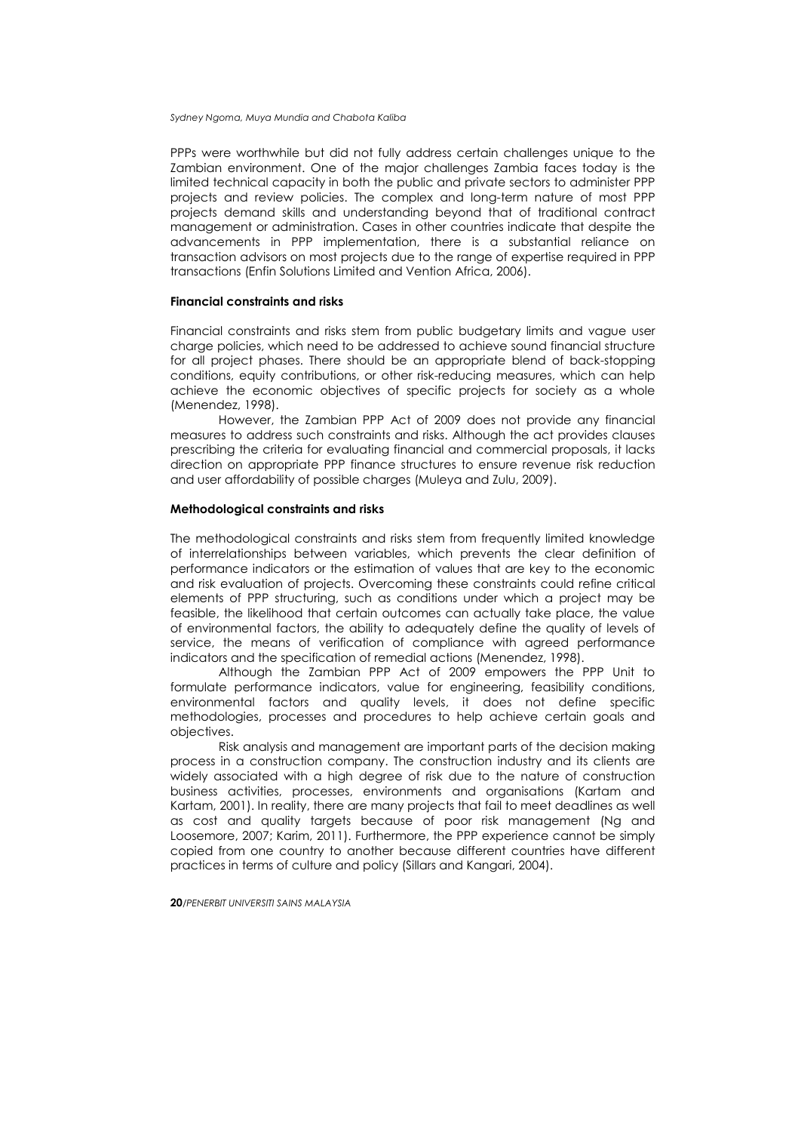PPPs were worthwhile but did not fully address certain challenges unique to the Zambian environment. One of the major challenges Zambia faces today is the limited technical capacity in both the public and private sectors to administer PPP projects and review policies. The complex and long-term nature of most PPP projects demand skills and understanding beyond that of traditional contract management or administration. Cases in other countries indicate that despite the advancements in PPP implementation, there is a substantial reliance on transaction advisors on most projects due to the range of expertise required in PPP transactions (Enfin Solutions Limited and Vention Africa, 2006).

### **Financial constraints and risks**

Financial constraints and risks stem from public budgetary limits and vague user charge policies, which need to be addressed to achieve sound financial structure for all project phases. There should be an appropriate blend of back-stopping conditions, equity contributions, or other risk-reducing measures, which can help achieve the economic objectives of specific projects for society as a whole (Menendez, 1998).

However, the Zambian PPP Act of 2009 does not provide any financial measures to address such constraints and risks. Although the act provides clauses prescribing the criteria for evaluating financial and commercial proposals, it lacks direction on appropriate PPP finance structures to ensure revenue risk reduction and user affordability of possible charges (Muleya and Zulu, 2009).

## **Methodological constraints and risks**

The methodological constraints and risks stem from frequently limited knowledge of interrelationships between variables, which prevents the clear definition of performance indicators or the estimation of values that are key to the economic and risk evaluation of projects. Overcoming these constraints could refine critical elements of PPP structuring, such as conditions under which a project may be feasible, the likelihood that certain outcomes can actually take place, the value of environmental factors, the ability to adequately define the quality of levels of service, the means of verification of compliance with agreed performance indicators and the specification of remedial actions (Menendez, 1998).

Although the Zambian PPP Act of 2009 empowers the PPP Unit to formulate performance indicators, value for engineering, feasibility conditions, environmental factors and quality levels, it does not define specific methodologies, processes and procedures to help achieve certain goals and objectives.

Risk analysis and management are important parts of the decision making process in a construction company. The construction industry and its clients are widely associated with a high degree of risk due to the nature of construction business activities, processes, environments and organisations (Kartam and Kartam, 2001). In reality, there are many projects that fail to meet deadlines as well as cost and quality targets because of poor risk management (Ng and Loosemore, 2007; Karim, 2011). Furthermore, the PPP experience cannot be simply copied from one country to another because different countries have different practices in terms of culture and policy (Sillars and Kangari, 2004).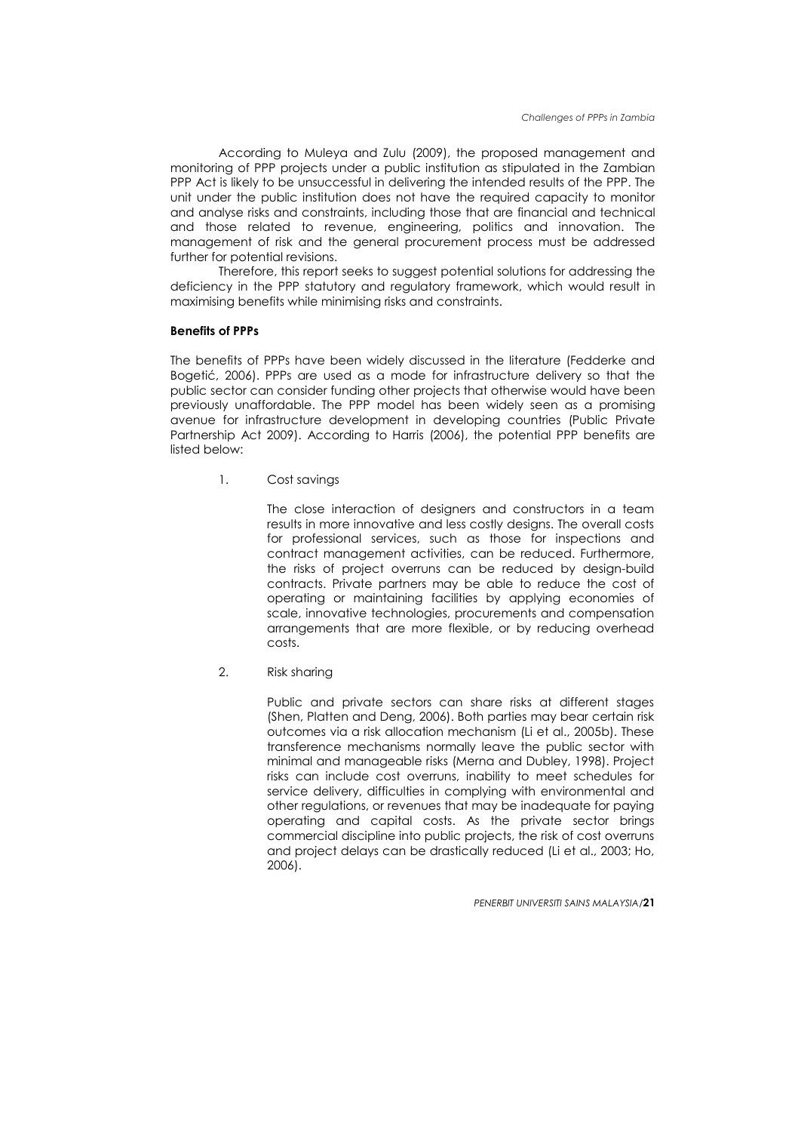According to Muleya and Zulu (2009), the proposed management and monitoring of PPP projects under a public institution as stipulated in the Zambian PPP Act is likely to be unsuccessful in delivering the intended results of the PPP. The unit under the public institution does not have the required capacity to monitor and analyse risks and constraints, including those that are financial and technical and those related to revenue, engineering, politics and innovation. The management of risk and the general procurement process must be addressed further for potential revisions.

Therefore, this report seeks to suggest potential solutions for addressing the deficiency in the PPP statutory and regulatory framework, which would result in maximising benefits while minimising risks and constraints.

### **Benefits of PPPs**

The benefits of PPPs have been widely discussed in the literature (Fedderke and Bogetić, 2006). PPPs are used as a mode for infrastructure delivery so that the public sector can consider funding other projects that otherwise would have been previously unaffordable. The PPP model has been widely seen as a promising avenue for infrastructure development in developing countries (Public Private Partnership Act 2009). According to Harris (2006), the potential PPP benefits are listed below:

1. Cost savings

The close interaction of designers and constructors in a team results in more innovative and less costly designs. The overall costs for professional services, such as those for inspections and contract management activities, can be reduced. Furthermore, the risks of project overruns can be reduced by design-build contracts. Private partners may be able to reduce the cost of operating or maintaining facilities by applying economies of scale, innovative technologies, procurements and compensation arrangements that are more flexible, or by reducing overhead costs.

2. Risk sharing

Public and private sectors can share risks at different stages (Shen, Platten and Deng, 2006). Both parties may bear certain risk outcomes via a risk allocation mechanism (Li et al., 2005b). These transference mechanisms normally leave the public sector with minimal and manageable risks (Merna and Dubley, 1998). Project risks can include cost overruns, inability to meet schedules for service delivery, difficulties in complying with environmental and other regulations, or revenues that may be inadequate for paying operating and capital costs. As the private sector brings commercial discipline into public projects, the risk of cost overruns and project delays can be drastically reduced (Li et al., 2003; Ho, 2006).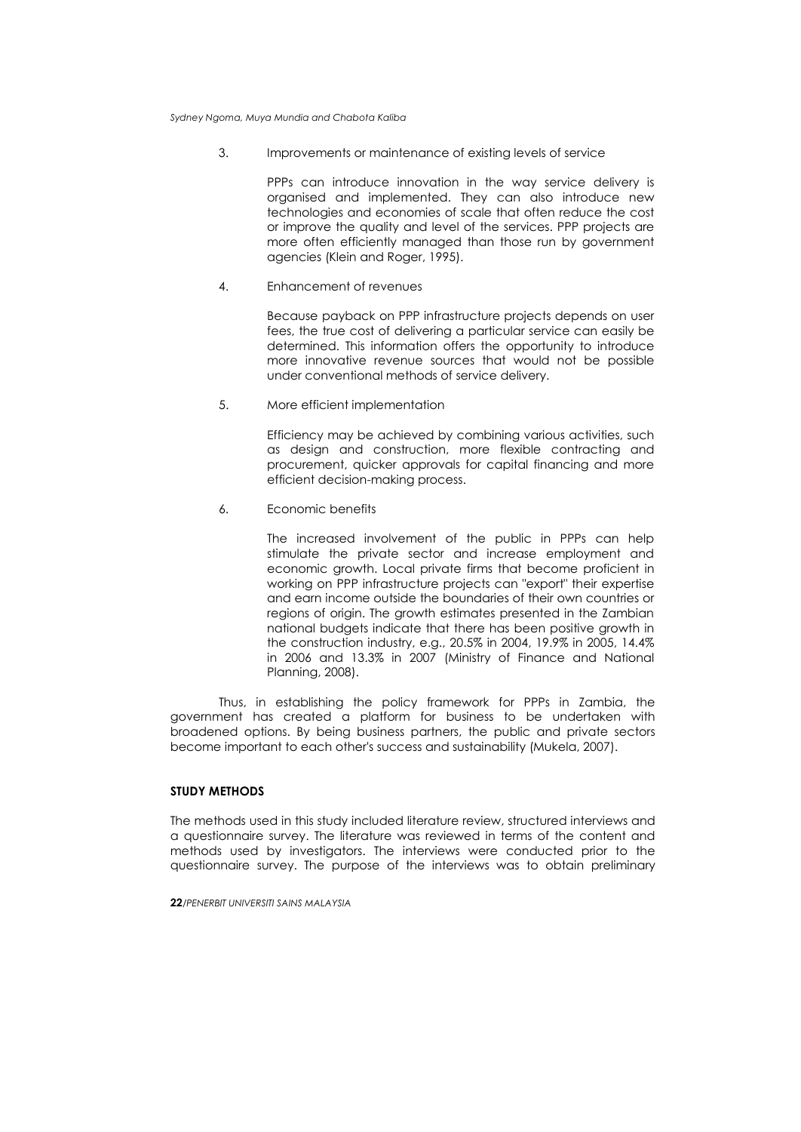3. Improvements or maintenance of existing levels of service

PPPs can introduce innovation in the way service delivery is organised and implemented. They can also introduce new technologies and economies of scale that often reduce the cost or improve the quality and level of the services. PPP projects are more often efficiently managed than those run by government agencies (Klein and Roger, 1995).

4. Enhancement of revenues

Because payback on PPP infrastructure projects depends on user fees, the true cost of delivering a particular service can easily be determined. This information offers the opportunity to introduce more innovative revenue sources that would not be possible under conventional methods of service delivery.

5. More efficient implementation

Efficiency may be achieved by combining various activities, such as design and construction, more flexible contracting and procurement, quicker approvals for capital financing and more efficient decision-making process.

6. Economic benefits

The increased involvement of the public in PPPs can help stimulate the private sector and increase employment and economic growth. Local private firms that become proficient in working on PPP infrastructure projects can "export" their expertise and earn income outside the boundaries of their own countries or regions of origin. The growth estimates presented in the Zambian national budgets indicate that there has been positive growth in the construction industry, e.g., 20.5% in 2004, 19.9% in 2005, 14.4% in 2006 and 13.3% in 2007 (Ministry of Finance and National Planning, 2008).

Thus, in establishing the policy framework for PPPs in Zambia, the government has created a platform for business to be undertaken with broadened options. By being business partners, the public and private sectors become important to each other's success and sustainability (Mukela, 2007).

## **STUDY METHODS**

The methods used in this study included literature review, structured interviews and a questionnaire survey. The literature was reviewed in terms of the content and methods used by investigators. The interviews were conducted prior to the questionnaire survey. The purpose of the interviews was to obtain preliminary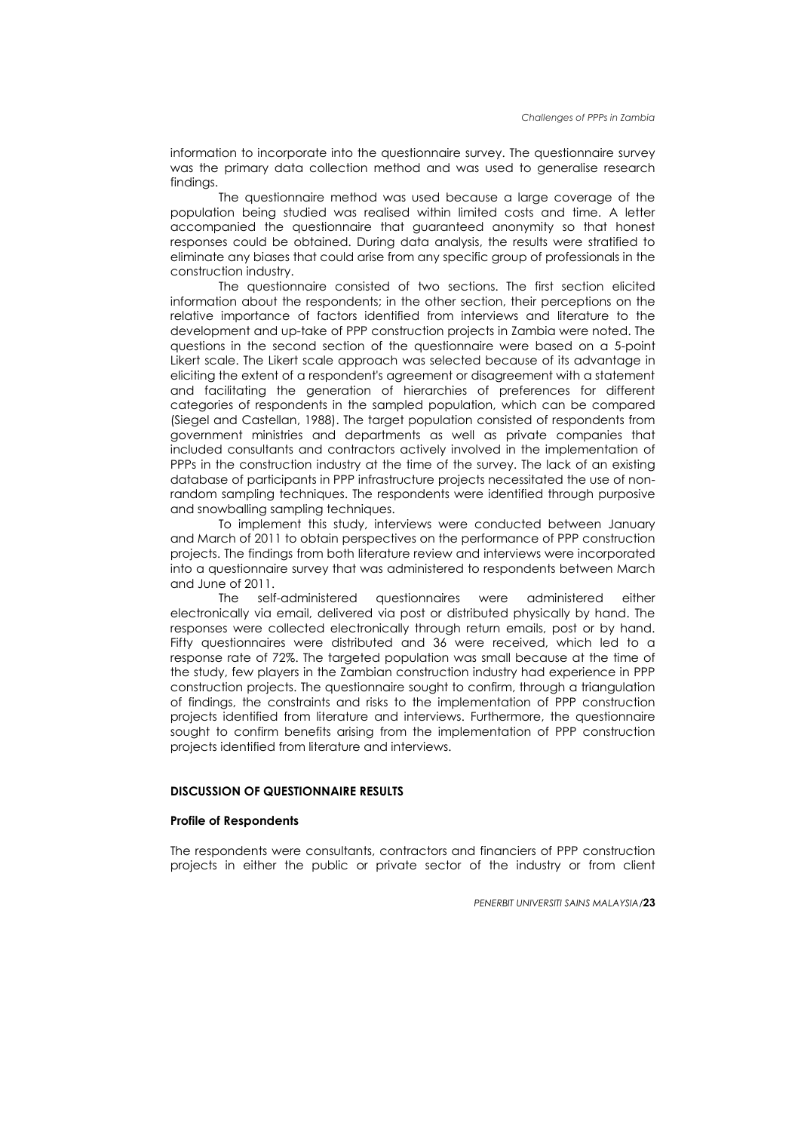information to incorporate into the questionnaire survey. The questionnaire survey was the primary data collection method and was used to generalise research findings.

The questionnaire method was used because a large coverage of the population being studied was realised within limited costs and time. A letter accompanied the questionnaire that guaranteed anonymity so that honest responses could be obtained. During data analysis, the results were stratified to eliminate any biases that could arise from any specific group of professionals in the construction industry.

The questionnaire consisted of two sections. The first section elicited information about the respondents; in the other section, their perceptions on the relative importance of factors identified from interviews and literature to the development and up-take of PPP construction projects in Zambia were noted. The questions in the second section of the questionnaire were based on a 5-point Likert scale. The Likert scale approach was selected because of its advantage in eliciting the extent of a respondent's agreement or disagreement with a statement and facilitating the generation of hierarchies of preferences for different categories of respondents in the sampled population, which can be compared (Siegel and Castellan, 1988). The target population consisted of respondents from government ministries and departments as well as private companies that included consultants and contractors actively involved in the implementation of PPPs in the construction industry at the time of the survey. The lack of an existing database of participants in PPP infrastructure projects necessitated the use of nonrandom sampling techniques. The respondents were identified through purposive and snowballing sampling techniques.

To implement this study, interviews were conducted between January and March of 2011 to obtain perspectives on the performance of PPP construction projects. The findings from both literature review and interviews were incorporated into a questionnaire survey that was administered to respondents between March and June of 2011.

The self-administered questionnaires were administered either electronically via email, delivered via post or distributed physically by hand. The responses were collected electronically through return emails, post or by hand. Fifty questionnaires were distributed and 36 were received, which led to a response rate of 72%. The targeted population was small because at the time of the study, few players in the Zambian construction industry had experience in PPP construction projects. The questionnaire sought to confirm, through a triangulation of findings, the constraints and risks to the implementation of PPP construction projects identified from literature and interviews. Furthermore, the questionnaire sought to confirm benefits arising from the implementation of PPP construction projects identified from literature and interviews.

## **DISCUSSION OF QUESTIONNAIRE RESULTS**

### **Profile of Respondents**

The respondents were consultants, contractors and financiers of PPP construction projects in either the public or private sector of the industry or from client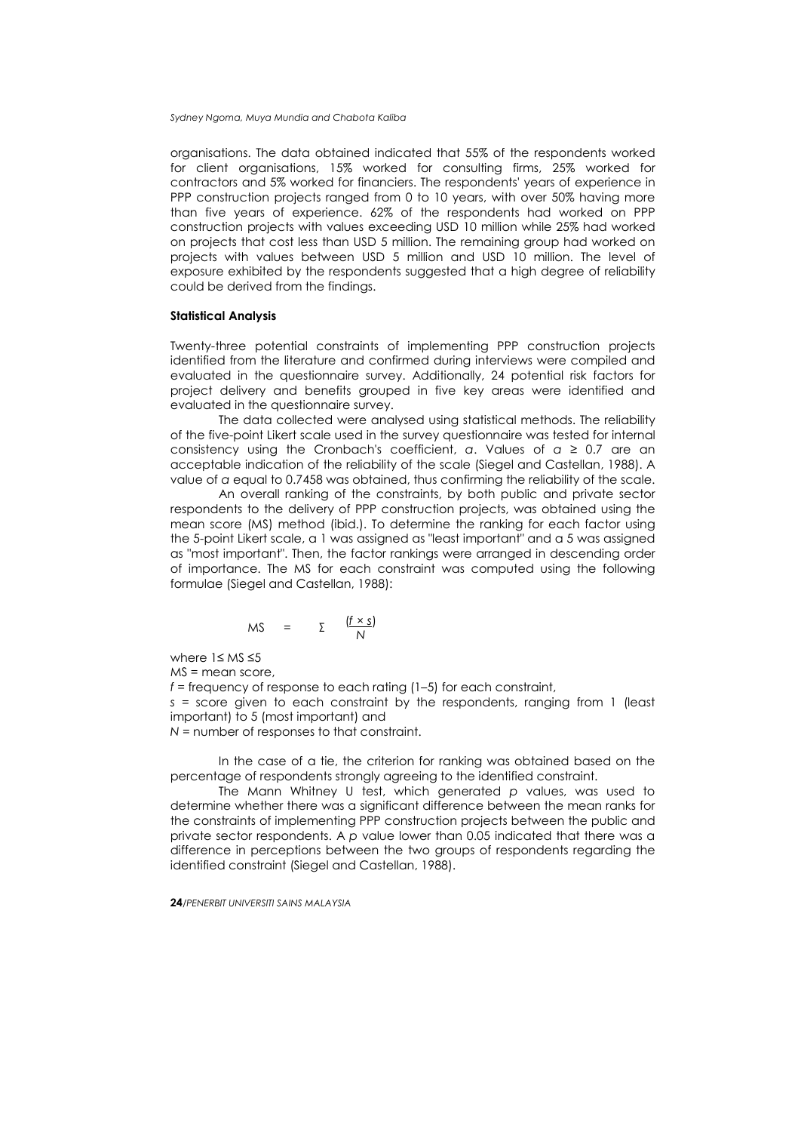organisations. The data obtained indicated that 55% of the respondents worked for client organisations, 15% worked for consulting firms, 25% worked for contractors and 5% worked for financiers. The respondents' years of experience in PPP construction projects ranged from 0 to 10 years, with over 50% having more than five years of experience. 62% of the respondents had worked on PPP construction projects with values exceeding USD 10 million while 25% had worked on projects that cost less than USD 5 million. The remaining group had worked on projects with values between USD 5 million and USD 10 million. The level of exposure exhibited by the respondents suggested that a high degree of reliability could be derived from the findings.

### **Statistical Analysis**

Twenty-three potential constraints of implementing PPP construction projects identified from the literature and confirmed during interviews were compiled and evaluated in the questionnaire survey. Additionally, 24 potential risk factors for project delivery and benefits grouped in five key areas were identified and evaluated in the questionnaire survey.

The data collected were analysed using statistical methods. The reliability of the five-point Likert scale used in the survey questionnaire was tested for internal consistency using the Cronbach's coefficient, *α*. Values of *α* ≥ 0.7 are an acceptable indication of the reliability of the scale (Siegel and Castellan, 1988). A value of *α* equal to 0.7458 was obtained, thus confirming the reliability of the scale.

An overall ranking of the constraints, by both public and private sector respondents to the delivery of PPP construction projects, was obtained using the mean score (MS) method (ibid.). To determine the ranking for each factor using the 5-point Likert scale, a 1 was assigned as "least important" and a 5 was assigned as "most important". Then, the factor rankings were arranged in descending order of importance. The MS for each constraint was computed using the following formulae (Siegel and Castellan, 1988):

$$
MS = \Sigma \frac{(f \times S)}{N}
$$

where 1≤ MS ≤5

MS = mean score,

*f* = frequency of response to each rating (1–5) for each constraint,

*s* = score given to each constraint by the respondents, ranging from 1 (least important) to 5 (most important) and

*N* = number of responses to that constraint.

In the case of a tie, the criterion for ranking was obtained based on the percentage of respondents strongly agreeing to the identified constraint.

The Mann Whitney U test, which generated *p* values, was used to determine whether there was a significant difference between the mean ranks for the constraints of implementing PPP construction projects between the public and private sector respondents. A *p* value lower than 0.05 indicated that there was a difference in perceptions between the two groups of respondents regarding the identified constraint (Siegel and Castellan, 1988).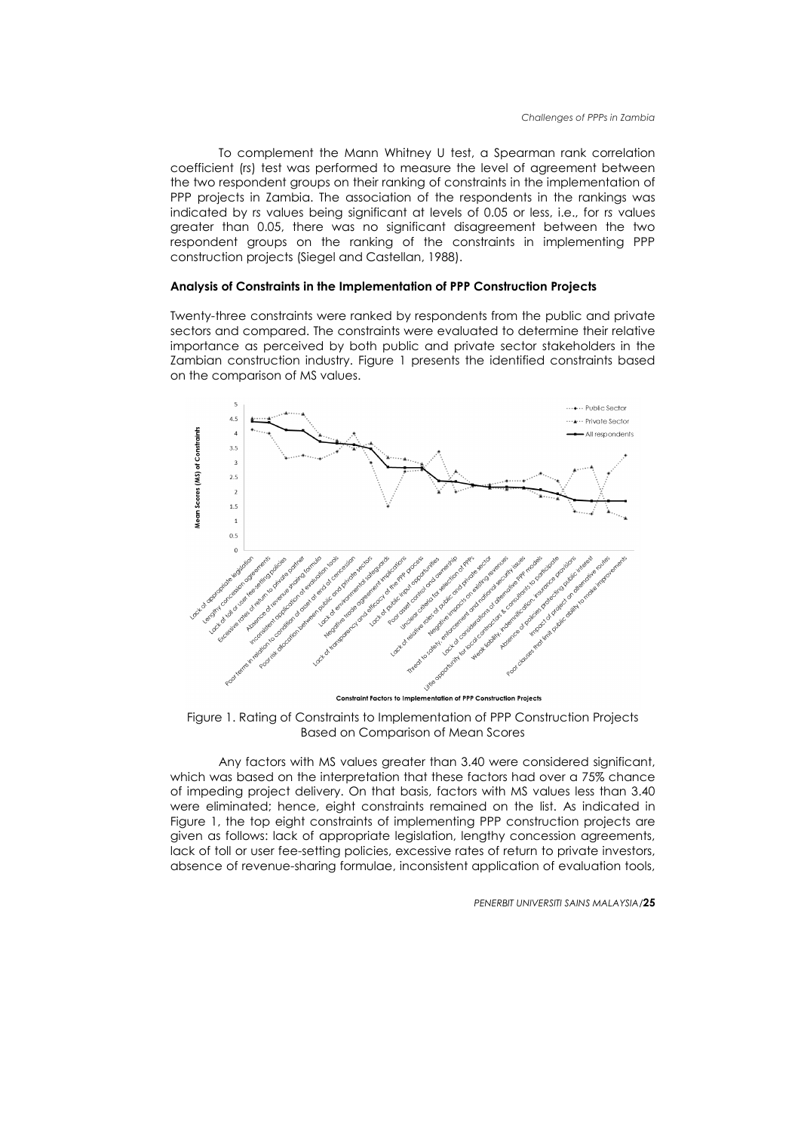To complement the Mann Whitney U test, a Spearman rank correlation coefficient (r*s*) test was performed to measure the level of agreement between the two respondent groups on their ranking of constraints in the implementation of PPP projects in Zambia. The association of the respondents in the rankings was indicated by r*s* values being significant at levels of 0.05 or less, i.e., for r*s* values greater than 0.05, there was no significant disagreement between the two respondent groups on the ranking of the constraints in implementing PPP construction projects (Siegel and Castellan, 1988).

## **Analysis of Constraints in the Implementation of PPP Construction Projects**

Twenty-three constraints were ranked by respondents from the public and private sectors and compared. The constraints were evaluated to determine their relative importance as perceived by both public and private sector stakeholders in the Zambian construction industry. Figure 1 presents the identified constraints based on the comparison of MS values.



Figure 1. Rating of Constraints to Implementation of PPP Construction Projects Based on Comparison of Mean Scores

Any factors with MS values greater than 3.40 were considered significant, which was based on the interpretation that these factors had over a 75% chance of impeding project delivery. On that basis, factors with MS values less than 3.40 were eliminated; hence, eight constraints remained on the list. As indicated in Figure 1, the top eight constraints of implementing PPP construction projects are given as follows: lack of appropriate legislation, lengthy concession agreements, lack of toll or user fee-setting policies, excessive rates of return to private investors, absence of revenue-sharing formulae, inconsistent application of evaluation tools,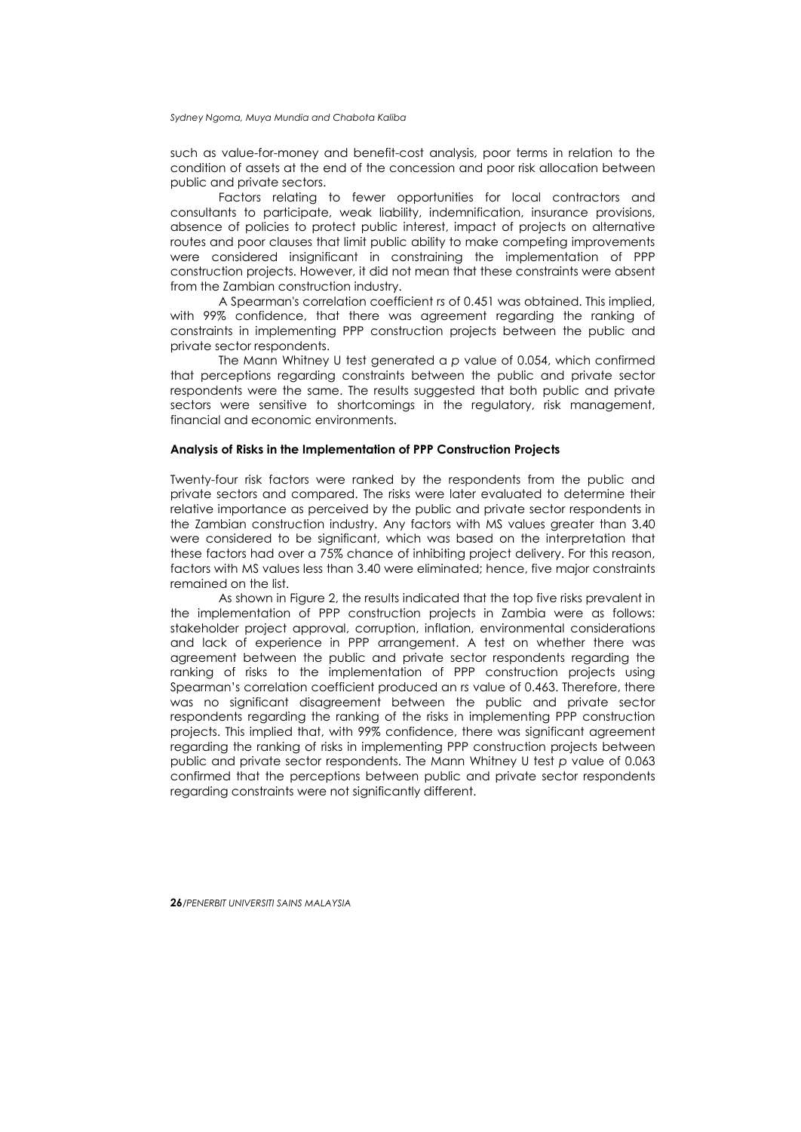such as value-for-money and benefit-cost analysis, poor terms in relation to the condition of assets at the end of the concession and poor risk allocation between public and private sectors.

Factors relating to fewer opportunities for local contractors and consultants to participate, weak liability, indemnification, insurance provisions, absence of policies to protect public interest, impact of projects on alternative routes and poor clauses that limit public ability to make competing improvements were considered insignificant in constraining the implementation of PPP construction projects. However, it did not mean that these constraints were absent from the Zambian construction industry.

A Spearman's correlation coefficient r*s* of 0.451 was obtained. This implied, with 99% confidence, that there was agreement regarding the ranking of constraints in implementing PPP construction projects between the public and private sector respondents.

The Mann Whitney U test generated a *p* value of 0.054, which confirmed that perceptions regarding constraints between the public and private sector respondents were the same. The results suggested that both public and private sectors were sensitive to shortcomings in the regulatory, risk management, financial and economic environments.

## **Analysis of Risks in the Implementation of PPP Construction Projects**

Twenty-four risk factors were ranked by the respondents from the public and private sectors and compared. The risks were later evaluated to determine their relative importance as perceived by the public and private sector respondents in the Zambian construction industry. Any factors with MS values greater than 3.40 were considered to be significant, which was based on the interpretation that these factors had over a 75% chance of inhibiting project delivery. For this reason, factors with MS values less than 3.40 were eliminated; hence, five major constraints remained on the list.

As shown in Figure 2, the results indicated that the top five risks prevalent in the implementation of PPP construction projects in Zambia were as follows: stakeholder project approval, corruption, inflation, environmental considerations and lack of experience in PPP arrangement. A test on whether there was agreement between the public and private sector respondents regarding the ranking of risks to the implementation of PPP construction projects using Spearman's correlation coefficient produced an r*s* value of 0.463. Therefore, there was no significant disagreement between the public and private sector respondents regarding the ranking of the risks in implementing PPP construction projects. This implied that, with 99% confidence, there was significant agreement regarding the ranking of risks in implementing PPP construction projects between public and private sector respondents. The Mann Whitney U test *p* value of 0.063 confirmed that the perceptions between public and private sector respondents regarding constraints were not significantly different.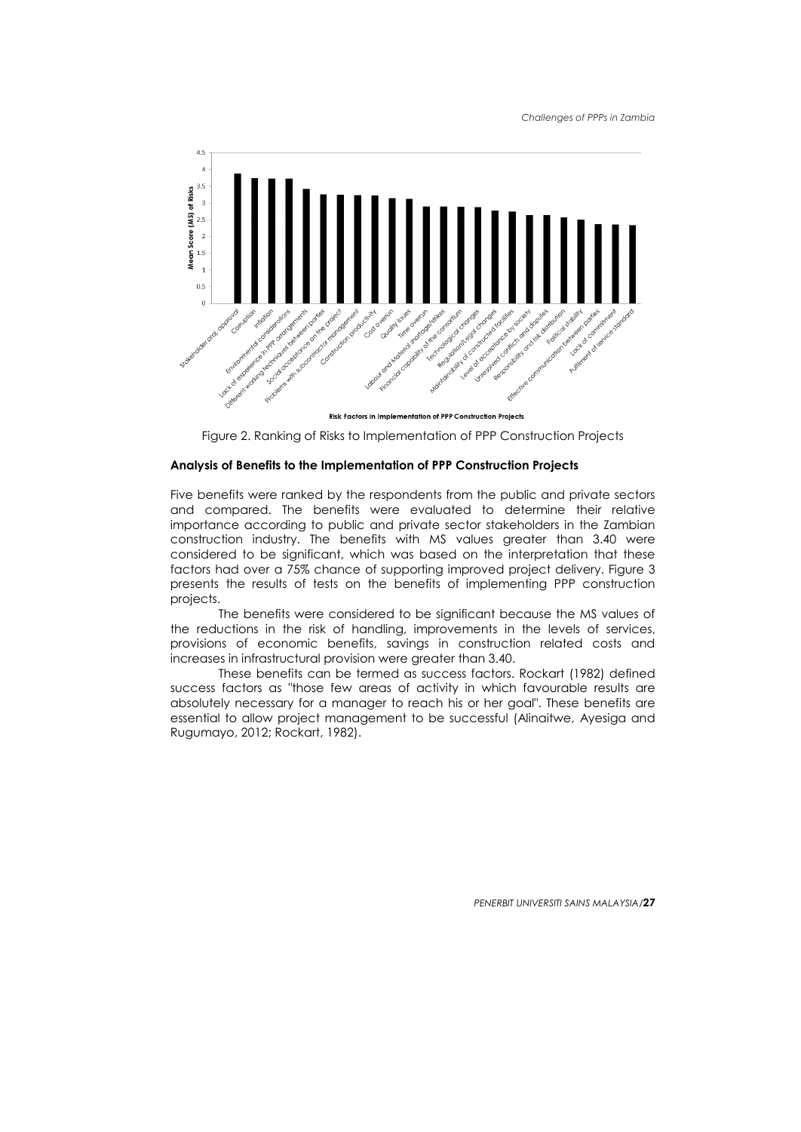

Risk Factors in Implementation of PPP Construction Projects

Figure 2. Ranking of Risks to Implementation of PPP Construction Projects

## **Analysis of Benefits to the Implementation of PPP Construction Projects**

Five benefits were ranked by the respondents from the public and private sectors and compared. The benefits were evaluated to determine their relative importance according to public and private sector stakeholders in the Zambian construction industry. The benefits with MS values greater than 3.40 were considered to be significant, which was based on the interpretation that these factors had over a 75% chance of supporting improved project delivery. Figure 3 presents the results of tests on the benefits of implementing PPP construction projects.

The benefits were considered to be significant because the MS values of the reductions in the risk of handling, improvements in the levels of services, provisions of economic benefits, savings in construction related costs and increases in infrastructural provision were greater than 3.40.

These benefits can be termed as success factors. Rockart (1982) defined success factors as "those few areas of activity in which favourable results are absolutely necessary for a manager to reach his or her goal". These benefits are essential to allow project management to be successful (Alinaitwe, Ayesiga and Rugumayo, 2012; Rockart, 1982).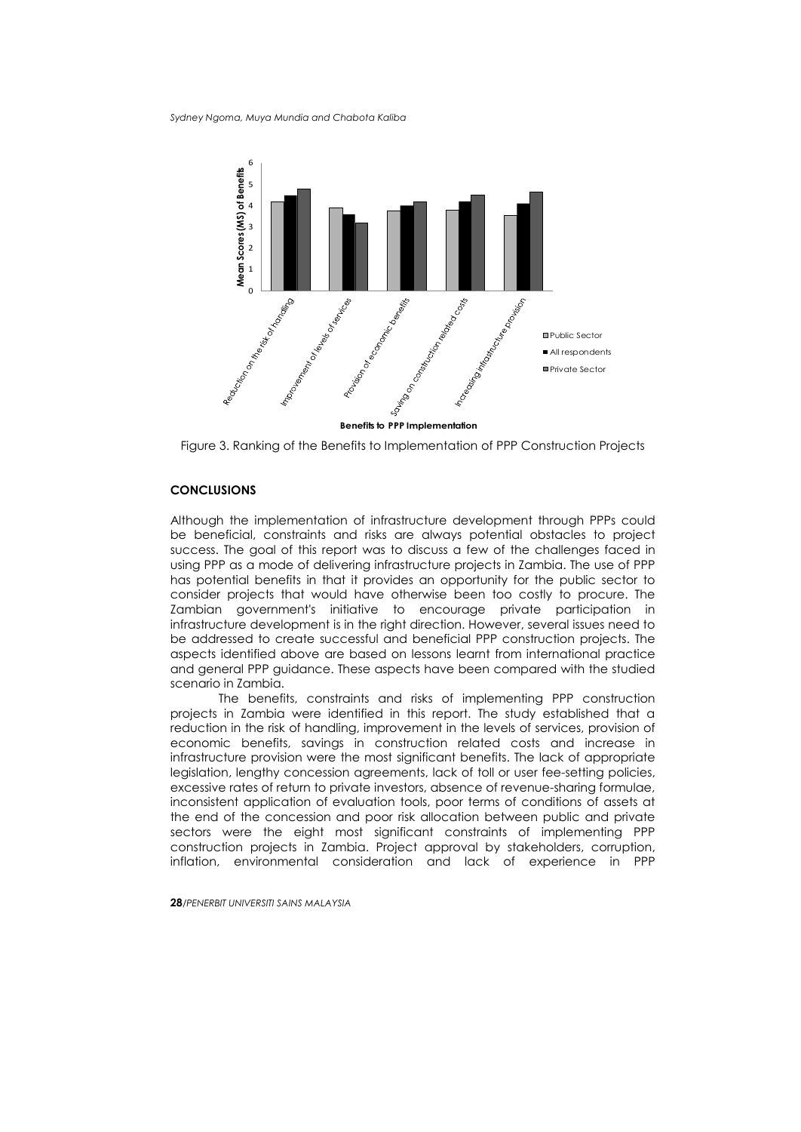

Figure 3. Ranking of the Benefits to Implementation of PPP Construction Projects

## **CONCLUSIONS**

Although the implementation of infrastructure development through PPPs could be beneficial, constraints and risks are always potential obstacles to project success. The goal of this report was to discuss a few of the challenges faced in using PPP as a mode of delivering infrastructure projects in Zambia. The use of PPP has potential benefits in that it provides an opportunity for the public sector to consider projects that would have otherwise been too costly to procure. The Zambian government's initiative to encourage private participation in infrastructure development is in the right direction. However, several issues need to be addressed to create successful and beneficial PPP construction projects. The aspects identified above are based on lessons learnt from international practice and general PPP guidance. These aspects have been compared with the studied scenario in Zambia.

The benefits, constraints and risks of implementing PPP construction projects in Zambia were identified in this report. The study established that a reduction in the risk of handling, improvement in the levels of services, provision of economic benefits, savings in construction related costs and increase in infrastructure provision were the most significant benefits. The lack of appropriate legislation, lengthy concession agreements, lack of toll or user fee-setting policies, excessive rates of return to private investors, absence of revenue-sharing formulae, inconsistent application of evaluation tools, poor terms of conditions of assets at the end of the concession and poor risk allocation between public and private sectors were the eight most significant constraints of implementing PPP construction projects in Zambia. Project approval by stakeholders, corruption, inflation, environmental consideration and lack of experience in PPP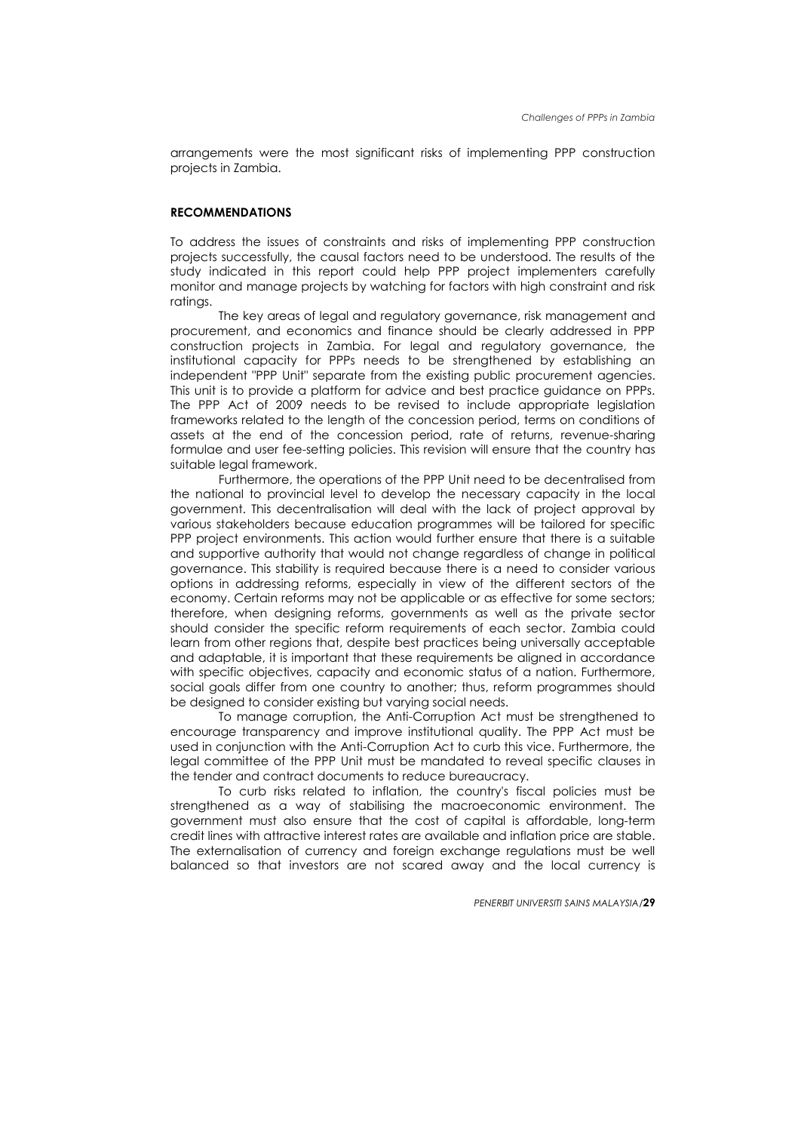arrangements were the most significant risks of implementing PPP construction projects in Zambia.

## **RECOMMENDATIONS**

To address the issues of constraints and risks of implementing PPP construction projects successfully, the causal factors need to be understood. The results of the study indicated in this report could help PPP project implementers carefully monitor and manage projects by watching for factors with high constraint and risk ratings.

The key areas of legal and regulatory governance, risk management and procurement, and economics and finance should be clearly addressed in PPP construction projects in Zambia. For legal and regulatory governance, the institutional capacity for PPPs needs to be strengthened by establishing an independent "PPP Unit" separate from the existing public procurement agencies. This unit is to provide a platform for advice and best practice guidance on PPPs. The PPP Act of 2009 needs to be revised to include appropriate legislation frameworks related to the length of the concession period, terms on conditions of assets at the end of the concession period, rate of returns, revenue-sharing formulae and user fee-setting policies. This revision will ensure that the country has suitable legal framework.

Furthermore, the operations of the PPP Unit need to be decentralised from the national to provincial level to develop the necessary capacity in the local government. This decentralisation will deal with the lack of project approval by various stakeholders because education programmes will be tailored for specific PPP project environments. This action would further ensure that there is a suitable and supportive authority that would not change regardless of change in political governance. This stability is required because there is a need to consider various options in addressing reforms, especially in view of the different sectors of the economy. Certain reforms may not be applicable or as effective for some sectors; therefore, when designing reforms, governments as well as the private sector should consider the specific reform requirements of each sector. Zambia could learn from other regions that, despite best practices being universally acceptable and adaptable, it is important that these requirements be aligned in accordance with specific objectives, capacity and economic status of a nation. Furthermore, social goals differ from one country to another; thus, reform programmes should be designed to consider existing but varying social needs.

To manage corruption, the Anti-Corruption Act must be strengthened to encourage transparency and improve institutional quality. The PPP Act must be used in conjunction with the Anti-Corruption Act to curb this vice. Furthermore, the legal committee of the PPP Unit must be mandated to reveal specific clauses in the tender and contract documents to reduce bureaucracy.

To curb risks related to inflation, the country's fiscal policies must be strengthened as a way of stabilising the macroeconomic environment. The government must also ensure that the cost of capital is affordable, long-term credit lines with attractive interest rates are available and inflation price are stable. The externalisation of currency and foreign exchange regulations must be well balanced so that investors are not scared away and the local currency is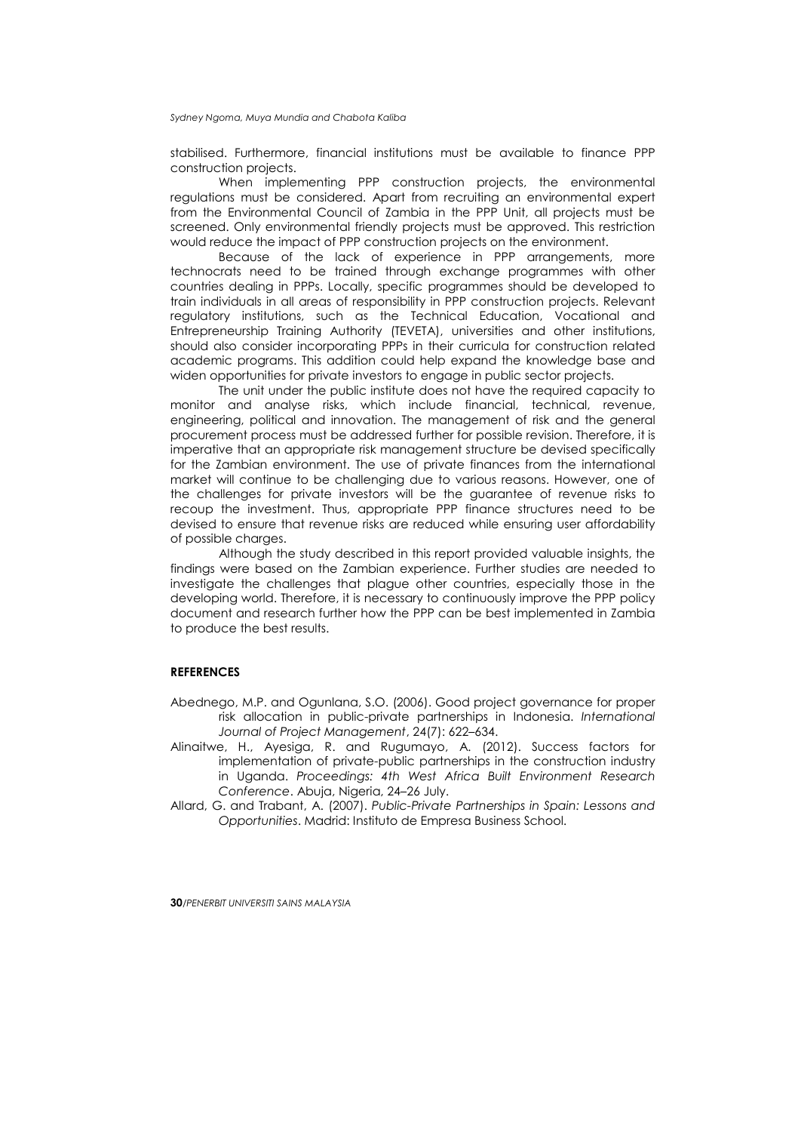stabilised. Furthermore, financial institutions must be available to finance PPP construction projects.

When implementing PPP construction projects, the environmental regulations must be considered. Apart from recruiting an environmental expert from the Environmental Council of Zambia in the PPP Unit, all projects must be screened. Only environmental friendly projects must be approved. This restriction would reduce the impact of PPP construction projects on the environment.

Because of the lack of experience in PPP arrangements, more technocrats need to be trained through exchange programmes with other countries dealing in PPPs. Locally, specific programmes should be developed to train individuals in all areas of responsibility in PPP construction projects. Relevant regulatory institutions, such as the Technical Education, Vocational and Entrepreneurship Training Authority (TEVETA), universities and other institutions, should also consider incorporating PPPs in their curricula for construction related academic programs. This addition could help expand the knowledge base and widen opportunities for private investors to engage in public sector projects.

The unit under the public institute does not have the required capacity to monitor and analyse risks, which include financial, technical, revenue, engineering, political and innovation. The management of risk and the general procurement process must be addressed further for possible revision. Therefore, it is imperative that an appropriate risk management structure be devised specifically for the Zambian environment. The use of private finances from the international market will continue to be challenging due to various reasons. However, one of the challenges for private investors will be the guarantee of revenue risks to recoup the investment. Thus, appropriate PPP finance structures need to be devised to ensure that revenue risks are reduced while ensuring user affordability of possible charges.

Although the study described in this report provided valuable insights, the findings were based on the Zambian experience. Further studies are needed to investigate the challenges that plague other countries, especially those in the developing world. Therefore, it is necessary to continuously improve the PPP policy document and research further how the PPP can be best implemented in Zambia to produce the best results.

## **REFERENCES**

- Abednego, M.P. and Ogunlana, S.O. (2006). Good project governance for proper risk allocation in public-private partnerships in Indonesia. *International Journal of Project Management*, 24(7): 622–634.
- Alinaitwe, H., Ayesiga, R. and Rugumayo, A. (2012). Success factors for implementation of private-public partnerships in the construction industry in Uganda. *Proceedings: 4th West Africa Built Environment Research Conference*. Abuja, Nigeria, 24–26 July.
- Allard, G. and Trabant, A. (2007). *Public-Private Partnerships in Spain: Lessons and Opportunities*. Madrid: Instituto de Empresa Business School.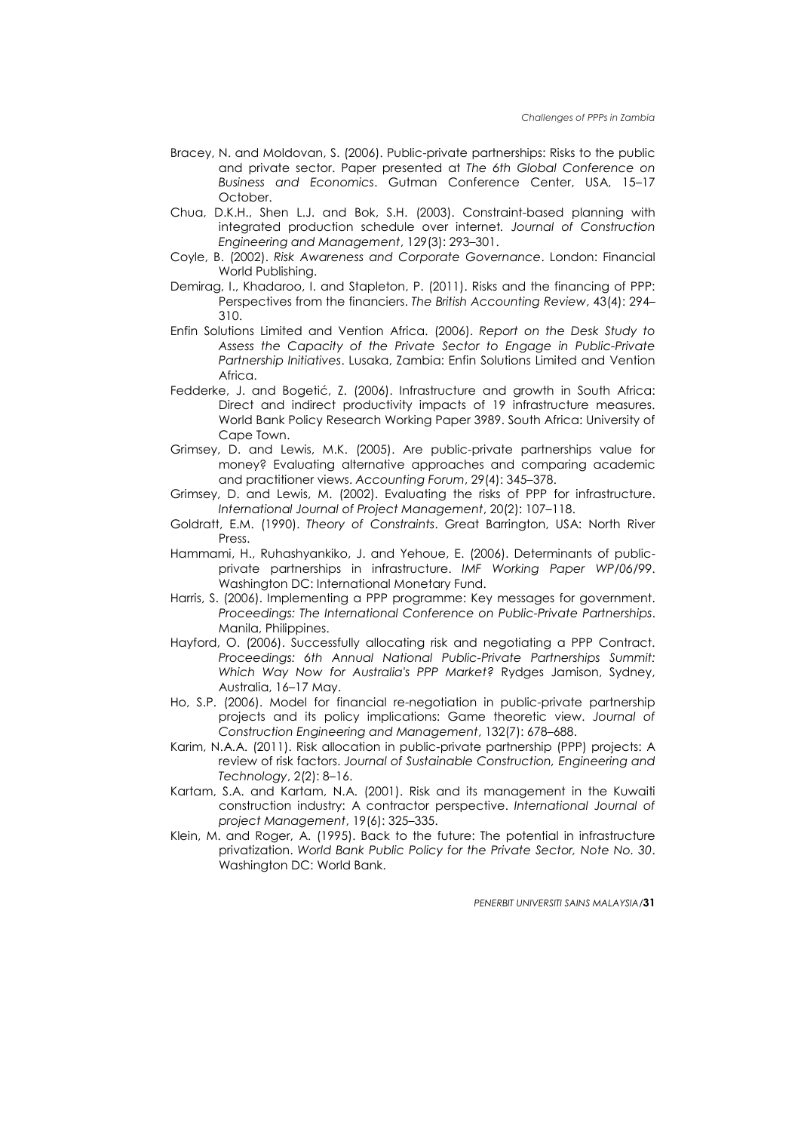- Bracey, N. and Moldovan, S. (2006). Public-private partnerships: Risks to the public and private sector. Paper presented at *The 6th Global Conference on Business and Economics*. Gutman Conference Center, USA, 15–17 October.
- Chua, D.K.H., Shen L.J. and Bok, S.H. (2003). Constraint-based planning with integrated production schedule over internet*. Journal of Construction Engineering and Management*, 129(3): 293–301.
- Coyle, B. (2002). *Risk Awareness and Corporate Governance*. London: Financial World Publishing.
- Demirag, I., Khadaroo, I. and Stapleton, P. (2011). Risks and the financing of PPP: Perspectives from the financiers. *The British Accounting Review*, 43(4): 294– 310.
- Enfin Solutions Limited and Vention Africa. (2006). *Report on the Desk Study to Assess the Capacity of the Private Sector to Engage in Public-Private Partnership Initiatives*. Lusaka, Zambia: Enfin Solutions Limited and Vention **Africa**
- Fedderke, J. and Bogetić, Z. (2006). Infrastructure and growth in South Africa: Direct and indirect productivity impacts of 19 infrastructure measures. World Bank Policy Research Working Paper 3989. South Africa: University of Cape Town.
- Grimsey, D. and Lewis, M.K. (2005). Are public-private partnerships value for money? Evaluating alternative approaches and comparing academic and practitioner views. *Accounting Forum*, 29(4): 345–378.
- Grimsey, D. and Lewis, M. (2002). Evaluating the risks of PPP for infrastructure. *International Journal of Project Management*, 20(2): 107–118.
- Goldratt, E.M. (1990). *Theory of Constraints*. Great Barrington, USA: North River Press.
- Hammami, H., Ruhashyankiko, J. and Yehoue, E. (2006). Determinants of publicprivate partnerships in infrastructure. *IMF Working Paper WP/06/99*. Washington DC: International Monetary Fund.
- Harris, S. (2006). Implementing a PPP programme: Key messages for government. *Proceedings: The International Conference on Public-Private Partnerships*. Manila, Philippines.
- Hayford, O. (2006). Successfully allocating risk and negotiating a PPP Contract. *Proceedings: 6th Annual National Public-Private Partnerships Summit: Which Way Now for Australia's PPP Market?* Rydges Jamison, Sydney, Australia, 16–17 May.
- Ho, S.P. (2006). Model for financial re-negotiation in public-private partnership projects and its policy implications: Game theoretic view. *Journal of Construction Engineering and Management*, 132(7): 678–688.
- Karim, N.A.A. (2011). Risk allocation in public-private partnership (PPP) projects: A review of risk factors. *Journal of Sustainable Construction, Engineering and Technology*, 2(2): 8–16.
- Kartam, S.A. and Kartam, N.A. (2001). Risk and its management in the Kuwaiti construction industry: A contractor perspective. *International Journal of project Management*, 19(6): 325–335.
- Klein, M. and Roger, A. (1995). Back to the future: The potential in infrastructure privatization. *World Bank Public Policy for the Private Sector, Note No. 30*. Washington DC: World Bank.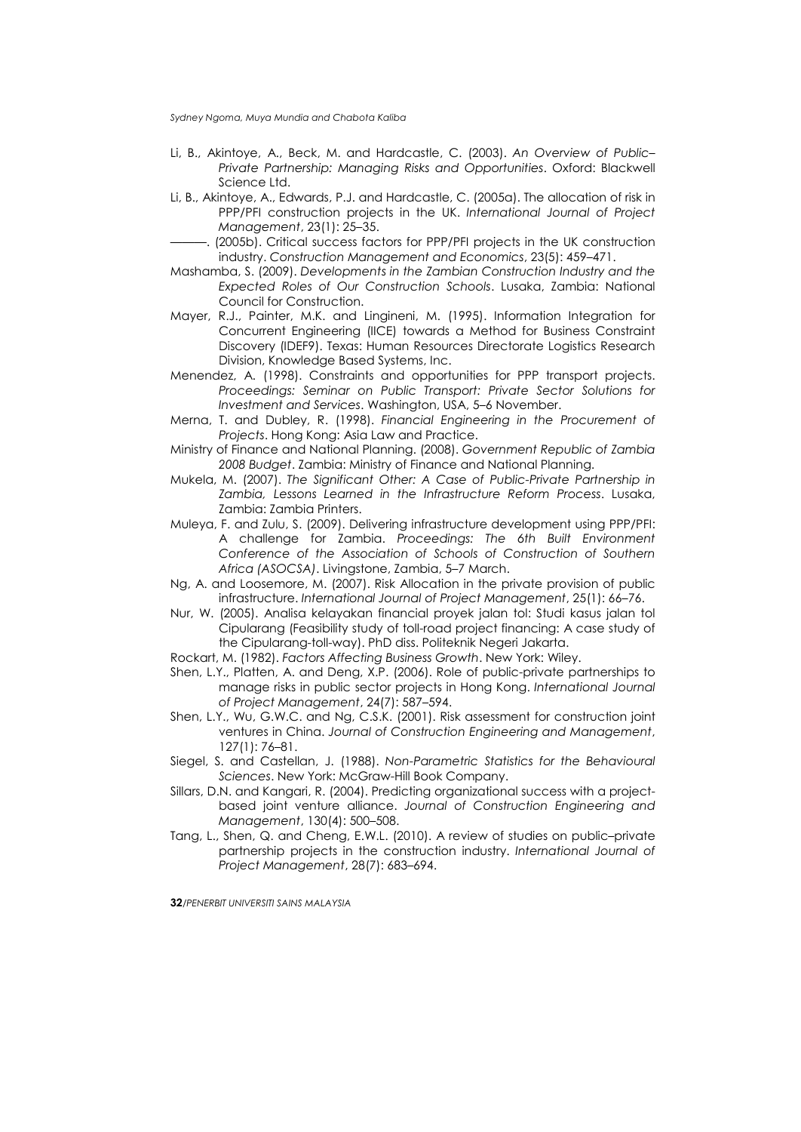- Li, B., Akintoye, A., Beck, M. and Hardcastle, C. (2003). *An Overview of Public– Private Partnership: Managing Risks and Opportunities*. Oxford: Blackwell Science Ltd.
- Li, B., Akintoye, A., Edwards, P.J. and Hardcastle, C. (2005a). The allocation of risk in PPP/PFI construction projects in the UK. *International Journal of Project Management*, 23(1): 25–35.
- ———. (2005b). Critical success factors for PPP/PFI projects in the UK construction industry. *Construction Management and Economics*, 23(5): 459–471.
- Mashamba, S. (2009). *Developments in the Zambian Construction Industry and the Expected Roles of Our Construction Schools*. Lusaka, Zambia: National Council for Construction.
- Mayer, R.J., Painter, M.K. and Lingineni, M. (1995). Information Integration for Concurrent Engineering (IICE) towards a Method for Business Constraint Discovery (IDEF9). Texas: Human Resources Directorate Logistics Research Division, Knowledge Based Systems, Inc.
- Menendez, A. (1998). Constraints and opportunities for PPP transport projects. *Proceedings: Seminar on Public Transport: Private Sector Solutions for Investment and Services*. Washington, USA, 5–6 November.
- Merna, T. and Dubley, R. (1998). *Financial Engineering in the Procurement of Projects*. Hong Kong: Asia Law and Practice.
- Ministry of Finance and National Planning. (2008). *Government Republic of Zambia 2008 Budget*. Zambia: Ministry of Finance and National Planning.
- Mukela, M. (2007). *The Significant Other: A Case of Public-Private Partnership in Zambia, Lessons Learned in the Infrastructure Reform Process*. Lusaka, Zambia: Zambia Printers.
- Muleya, F. and Zulu, S. (2009). Delivering infrastructure development using PPP/PFI: A challenge for Zambia. *Proceedings: The 6th Built Environment Conference of the Association of Schools of Construction of Southern Africa (ASOCSA)*. Livingstone, Zambia, 5–7 March.
- Ng, A. and Loosemore, M. (2007). Risk Allocation in the private provision of public infrastructure. *International Journal of Project Management*, 25(1): 66–76.
- Nur, W. (2005). Analisa kelayakan financial proyek jalan tol: Studi kasus jalan tol Cipularang (Feasibility study of toll-road project financing: A case study of the Cipularang-toll-way). PhD diss. Politeknik Negeri Jakarta.
- Rockart, M. (1982). *Factors Affecting Business Growth*. New York: Wiley.
- Shen, L.Y., Platten, A. and Deng, X.P. (2006). Role of public-private partnerships to manage risks in public sector projects in Hong Kong. *International Journal of Project Management*, 24(7): 587–594.
- Shen, L.Y., Wu, G.W.C. and Ng, C.S.K. (2001). Risk assessment for construction joint ventures in China. *Journal of Construction Engineering and Management*, 127(1): 76–81.
- Siegel, S. and Castellan, J. (1988). *Non-Parametric Statistics for the Behavioural Sciences*. New York: McGraw-Hill Book Company.
- Sillars, D.N. and Kangari, R. (2004). Predicting organizational success with a projectbased joint venture alliance. *Journal of Construction Engineering and Management*, 130(4): 500–508.
- Tang, L., Shen, Q. and Cheng, E.W.L. (2010). A review of studies on public–private partnership projects in the construction industry. *International Journal of Project Management*, 28(7): 683–694.